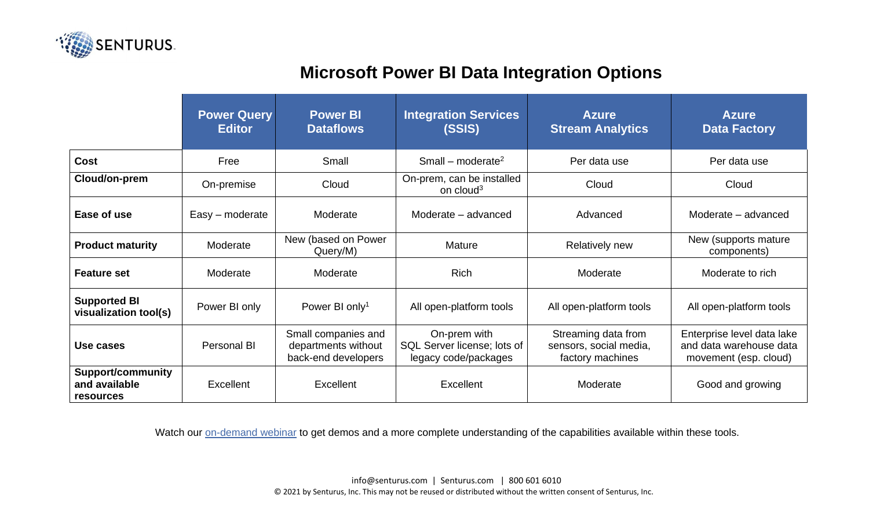

## **Microsoft Power BI Data Integration Options**

|                                                               | <b>Power Query</b><br><b>Editor</b> | <b>Power BI</b><br><b>Dataflows</b>                               | <b>Integration Services</b><br>(SSIS)                               | <b>Azure</b><br><b>Stream Analytics</b>                           | <b>Azure</b><br><b>Data Factory</b>                                            |
|---------------------------------------------------------------|-------------------------------------|-------------------------------------------------------------------|---------------------------------------------------------------------|-------------------------------------------------------------------|--------------------------------------------------------------------------------|
| <b>Cost</b>                                                   | Free                                | Small                                                             | Small – moderate <sup>2</sup>                                       | Per data use                                                      | Per data use                                                                   |
| Cloud/on-prem                                                 | On-premise                          | Cloud                                                             | On-prem, can be installed<br>on cloud <sup>3</sup>                  | Cloud                                                             | Cloud                                                                          |
| Ease of use                                                   | $Easy$ – moderate                   | Moderate                                                          | Moderate - advanced                                                 | Advanced                                                          | Moderate - advanced                                                            |
| <b>Product maturity</b>                                       | Moderate                            | New (based on Power<br>Query/M)                                   | Mature                                                              | <b>Relatively new</b>                                             | New (supports mature)<br>components)                                           |
| <b>Feature set</b>                                            | Moderate                            | Moderate                                                          | <b>Rich</b>                                                         | Moderate                                                          | Moderate to rich                                                               |
| <b>Supported BI</b><br>visualization tool(s)                  | Power BI only                       | Power BI only <sup>1</sup>                                        | All open-platform tools                                             | All open-platform tools                                           | All open-platform tools                                                        |
| Use cases                                                     | Personal BI                         | Small companies and<br>departments without<br>back-end developers | On-prem with<br>SQL Server license; lots of<br>legacy code/packages | Streaming data from<br>sensors, social media,<br>factory machines | Enterprise level data lake<br>and data warehouse data<br>movement (esp. cloud) |
| <b>Support/community</b><br>and available<br><b>resources</b> | Excellent                           | Excellent                                                         | Excellent                                                           | Moderate                                                          | Good and growing                                                               |

Watch our [on-demand webinar](https://senturus.com/resources/5-data-integration-options-for-microsoft-power-bi/) to get demos and a more complete understanding of the capabilities available within these tools.